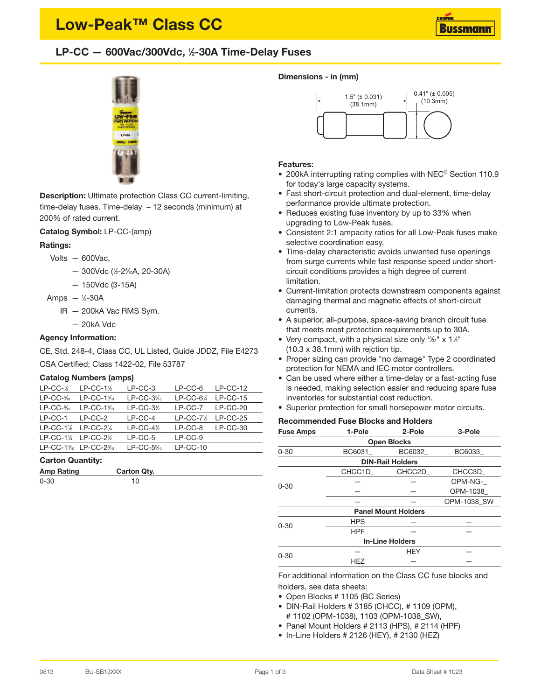# **Low-Peak™ Class CC**

# **LP-CC — 600Vac/300Vdc, <sup>1</sup> ⁄2-30A Time-Delay Fuses**



**Description:** Ultimate protection Class CC current-limiting, time-delay fuses. Time-delay – 12 seconds (minimum) at 200% of rated current.

**Catalog Symbol:** LP-CC-(amp)

## **Ratings:**

- Volts 600Vac,
	- 300Vdc ( 1 ⁄2-28 ⁄10A, 20-30A)
	- 150Vdc (3-15A)
- Amps <sup>1</sup> ⁄2-30A
	- IR 200kA Vac RMS Sym.
		- 20kA Vdc

## **Agency Information:**

CE, Std. 248-4, Class CC, UL Listed, Guide JDDZ, File E4273

CSA Certified; Class 1422-02, File 53787

### **Catalog Numbers (amps)**

| $LP-CC-\frac{1}{2}$                           | $LP-CC-1$ <sup>%</sup>   | $LP-CC-3$  | $LP-CC-6$    | $LP-CC-12$ |
|-----------------------------------------------|--------------------------|------------|--------------|------------|
| $LP-CC-10$                                    | $LP-CC-1%$               | $LP-CC-3%$ | $LP-CC-61/4$ | $LP-CC-15$ |
| $LP-CC-8/10$                                  | $LP-CC-1%$               | $LP-CC-3%$ | $LP-CC-7$    | $LP-CC-20$ |
| $LP-CC-1$                                     | $LP-CC-2$                | $LP-CC-4$  | $LP-CC-7%$   | $LP-CC-25$ |
| $LP-CC-1$ %                                   | $LP-CC-2$ <sup>1/4</sup> | $LP-CC-4%$ | $LP-CC-8$    | $LP-CC-30$ |
| $LP-CC-1$ <sup>%</sup> $LP-CC-2$ <sup>%</sup> |                          | $LP-CC-5$  | $LP-CC-9$    |            |
|                                               | $LP-CC-1\%$ $LP-CC-2\%$  | $LP-CC-5%$ | $LP-CC-10$   |            |
|                                               |                          |            |              |            |

## **Carton Quantity:**

| <b>Amp Rating</b> | Carton Qty. |  |
|-------------------|-------------|--|
| $0 - 30$          |             |  |

#### **Dimensions - in (mm)**



#### **Features:**

- 200kA interrupting rating complies with NEC® Section 110.9 for today's large capacity systems.
- Fast short-circuit protection and dual-element, time-delay performance provide ultimate protection.
- Reduces existing fuse inventory by up to 33% when upgrading to Low-Peak fuses.
- Consistent 2:1 ampacity ratios for all Low-Peak fuses make selective coordination easy.
- Time-delay characteristic avoids unwanted fuse openings from surge currents while fast response speed under shortcircuit conditions provides a high degree of current limitation.
- Current-limitation protects downstream components against damaging thermal and magnetic effects of short-circuit currents.
- A superior, all-purpose, space-saving branch circuit fuse that meets most protection requirements up to 30A.
- Very compact, with a physical size only  $1\frac{1}{2}$  x  $1\frac{1}{2}$ " (10.3 x 38.1mm) with rejction tip.
- Proper sizing can provide "no damage" Type 2 coordinated protection for NEMA and IEC motor controllers.
- Can be used where either a time-delay or a fast-acting fuse is needed, making selection easier and reducing spare fuse inventories for substantial cost reduction.
- Superior protection for small horsepower motor circuits.

## **Recommended Fuse Blocks and Holders**

| <b>Fuse Amps</b>        | 1-Pole     | 2-Pole                     | 3-Pole      |  |  |  |  |
|-------------------------|------------|----------------------------|-------------|--|--|--|--|
| <b>Open Blocks</b>      |            |                            |             |  |  |  |  |
| $0 - 30$                | BC6031     | <b>BC6032</b>              | BC6033      |  |  |  |  |
| <b>DIN-Rail Holders</b> |            |                            |             |  |  |  |  |
|                         | CHCC1D     | CHCC2D                     | CHCC3D      |  |  |  |  |
| $0 - 30$                |            |                            | OPM-NG-     |  |  |  |  |
|                         |            |                            | OPM-1038    |  |  |  |  |
|                         |            |                            | OPM-1038 SW |  |  |  |  |
|                         |            | <b>Panel Mount Holders</b> |             |  |  |  |  |
| $0 - 30$                | <b>HPS</b> |                            |             |  |  |  |  |
|                         | <b>HPF</b> |                            |             |  |  |  |  |
|                         |            | <b>In-Line Holders</b>     |             |  |  |  |  |
| $0 - 30$                |            | <b>HEY</b>                 |             |  |  |  |  |
|                         | <b>HEZ</b> |                            |             |  |  |  |  |

For additional information on the Class CC fuse blocks and holders, see data sheets:

- Open Blocks # 1105 (BC Series)
- DIN-Rail Holders # 3185 (CHCC), # 1109 (OPM), # 1102 (OPM-1038), 1103 (OPM-1038\_SW),
- Panel Mount Holders # 2113 (HPS), # 2114 (HPF)
- In-Line Holders # 2126 (HEY), # 2130 (HEZ)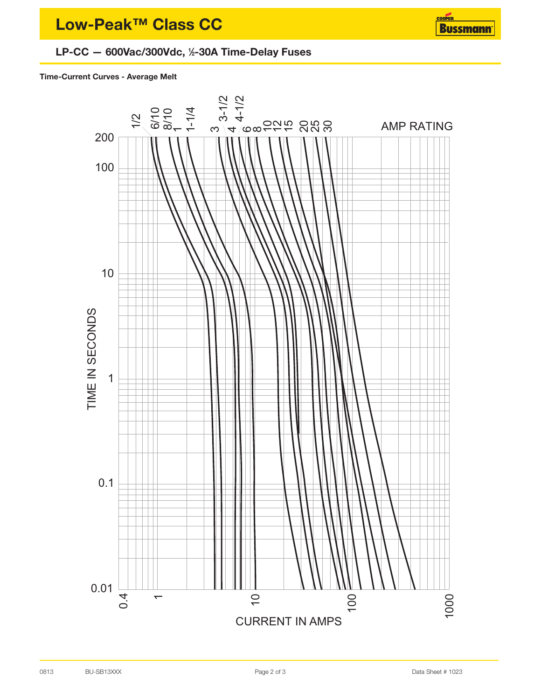# **LP-CC — 600Vac/300Vdc, <sup>1</sup> ⁄2-30A Time-Delay Fuses**

## **Time-Current Curves - Average Melt**